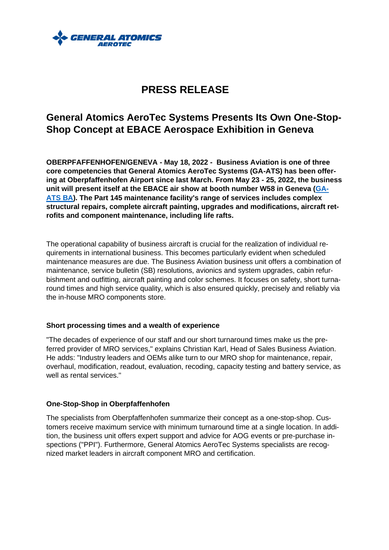

# **PRESS RELEASE**

## **General Atomics AeroTec Systems Presents Its Own One-Stop-Shop Concept at EBACE Aerospace Exhibition in Geneva**

**OBERPFAFFENHOFEN/GENEVA - May 18, 2022 - Business Aviation is one of three core competencies that General Atomics AeroTec Systems (GA-ATS) has been offering at Oberpfaffenhofen Airport since last March. From May 23 - 25, 2022, the business unit will present itself at the EBACE air show at booth number W58 in Geneva [\(GA-](https://ebace22.mapyourshow.com/8_0/floorplan/?hallID=A&selectedBooth=W58&shareguid=882C4B1E-EE23-F26D-1AFF4887C6CD1AF6)[ATS BA\)](https://ebace22.mapyourshow.com/8_0/floorplan/?hallID=A&selectedBooth=W58&shareguid=882C4B1E-EE23-F26D-1AFF4887C6CD1AF6). The Part 145 maintenance facility's range of services includes complex structural repairs, complete aircraft painting, upgrades and modifications, aircraft retrofits and component maintenance, including life rafts.**

The operational capability of business aircraft is crucial for the realization of individual requirements in international business. This becomes particularly evident when scheduled maintenance measures are due. The Business Aviation business unit offers a combination of maintenance, service bulletin (SB) resolutions, avionics and system upgrades, cabin refurbishment and outfitting, aircraft painting and color schemes. It focuses on safety, short turnaround times and high service quality, which is also ensured quickly, precisely and reliably via the in-house MRO components store.

### **Short processing times and a wealth of experience**

"The decades of experience of our staff and our short turnaround times make us the preferred provider of MRO services," explains Christian Karl, Head of Sales Business Aviation. He adds: "Industry leaders and OEMs alike turn to our MRO shop for maintenance, repair, overhaul, modification, readout, evaluation, recoding, capacity testing and battery service, as well as rental services."

## **One-Stop-Shop in Oberpfaffenhofen**

The specialists from Oberpfaffenhofen summarize their concept as a one-stop-shop. Customers receive maximum service with minimum turnaround time at a single location. In addition, the business unit offers expert support and advice for AOG events or pre-purchase inspections ("PPI"). Furthermore, General Atomics AeroTec Systems specialists are recognized market leaders in aircraft component MRO and certification.